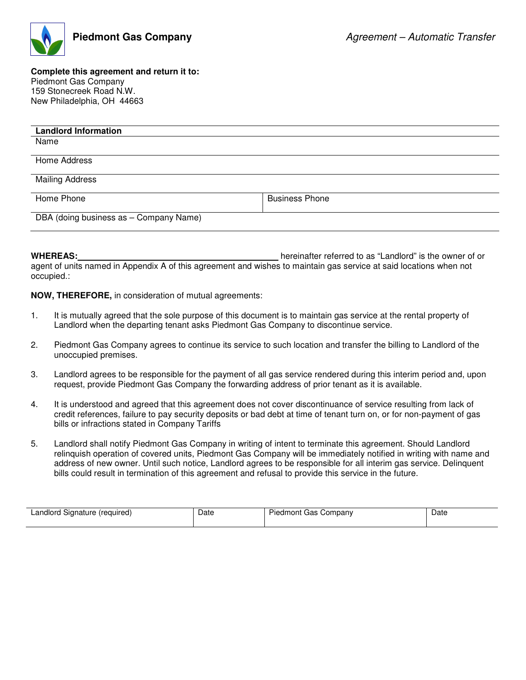

## **Complete this agreement and return it to:**  Piedmont Gas Company 159 Stonecreek Road N.W. New Philadelphia, OH 44663

| <b>Landlord Information</b>            |                       |  |
|----------------------------------------|-----------------------|--|
| Name                                   |                       |  |
|                                        |                       |  |
| Home Address                           |                       |  |
|                                        |                       |  |
| <b>Mailing Address</b>                 |                       |  |
|                                        |                       |  |
| Home Phone                             | <b>Business Phone</b> |  |
|                                        |                       |  |
| DBA (doing business as - Company Name) |                       |  |
|                                        |                       |  |

**WHEREAS:** hereinafter referred to as "Landlord" is the owner of or agent of units named in Appendix A of this agreement and wishes to maintain gas service at said locations when not occupied.:

**NOW, THEREFORE,** in consideration of mutual agreements:

- 1. It is mutually agreed that the sole purpose of this document is to maintain gas service at the rental property of Landlord when the departing tenant asks Piedmont Gas Company to discontinue service.
- 2. Piedmont Gas Company agrees to continue its service to such location and transfer the billing to Landlord of the unoccupied premises.
- 3. Landlord agrees to be responsible for the payment of all gas service rendered during this interim period and, upon request, provide Piedmont Gas Company the forwarding address of prior tenant as it is available.
- 4. It is understood and agreed that this agreement does not cover discontinuance of service resulting from lack of credit references, failure to pay security deposits or bad debt at time of tenant turn on, or for non-payment of gas bills or infractions stated in Company Tariffs
- 5. Landlord shall notify Piedmont Gas Company in writing of intent to terminate this agreement. Should Landlord relinquish operation of covered units, Piedmont Gas Company will be immediately notified in writing with name and address of new owner. Until such notice, Landlord agrees to be responsible for all interim gas service. Delinquent bills could result in termination of this agreement and refusal to provide this service in the future.

| ∟andlord '<br>Signature<br>(required) | Date | Company<br>edmont Gas '<br>Piec | Date |
|---------------------------------------|------|---------------------------------|------|
|                                       |      |                                 |      |